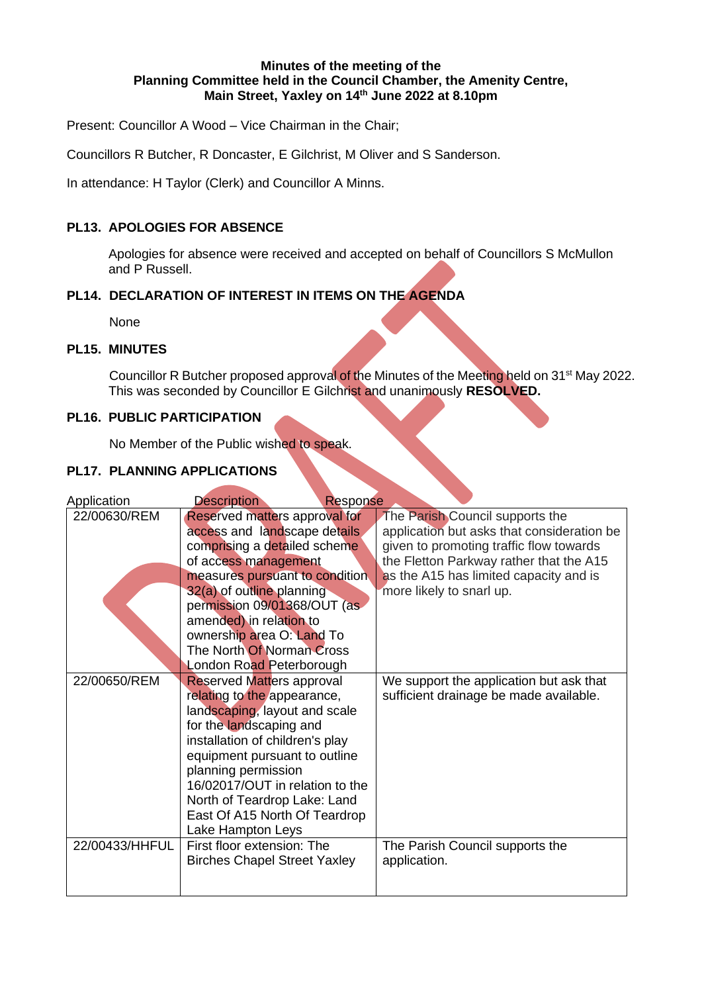#### **Minutes of the meeting of the Planning Committee held in the Council Chamber, the Amenity Centre, Main Street, Yaxley on 14th June 2022 at 8.10pm**

Present: Councillor A Wood – Vice Chairman in the Chair;

Councillors R Butcher, R Doncaster, E Gilchrist, M Oliver and S Sanderson.

In attendance: H Taylor (Clerk) and Councillor A Minns.

# **PL13. APOLOGIES FOR ABSENCE**

Apologies for absence were received and accepted on behalf of Councillors S McMullon and P Russell.

# **PL14. DECLARATION OF INTEREST IN ITEMS ON THE AGENDA**

None

### **PL15. MINUTES**

Councillor R Butcher proposed approval of the Minutes of the Meeting held on 31<sup>st</sup> May 2022. This was seconded by Councillor E Gilchrist and unanimously **RESOLVED.**

## **PL16. PUBLIC PARTICIPATION**

No Member of the Public wished to speak.

# **PL17. PLANNING APPLICATIONS**

| Application    | <b>Description</b><br>Response                                                                                                                                                                                                                                                                                                                                       |                                                                                                                                                                                                                                           |
|----------------|----------------------------------------------------------------------------------------------------------------------------------------------------------------------------------------------------------------------------------------------------------------------------------------------------------------------------------------------------------------------|-------------------------------------------------------------------------------------------------------------------------------------------------------------------------------------------------------------------------------------------|
| 22/00630/REM   | Reserved matters approval for<br>access and landscape details<br>comprising a detailed scheme<br>of access management<br>measures pursuant to condition<br>32(a) of outline planning<br>permission 09/01368/OUT (as<br>amended) in relation to<br>ownership area O: Land To<br>The North Of Norman Cross                                                             | The Parish Council supports the<br>application but asks that consideration be<br>given to promoting traffic flow towards<br>the Fletton Parkway rather that the A15<br>as the A15 has limited capacity and is<br>more likely to snarl up. |
| 22/00650/REM   | London Road Peterborough<br>Reserved Matters approval<br>relating to the appearance,<br>landscaping, layout and scale<br>for the landscaping and<br>installation of children's play<br>equipment pursuant to outline<br>planning permission<br>16/02017/OUT in relation to the<br>North of Teardrop Lake: Land<br>East Of A15 North Of Teardrop<br>Lake Hampton Leys | We support the application but ask that<br>sufficient drainage be made available.                                                                                                                                                         |
| 22/00433/HHFUL | First floor extension: The<br><b>Birches Chapel Street Yaxley</b>                                                                                                                                                                                                                                                                                                    | The Parish Council supports the<br>application.                                                                                                                                                                                           |